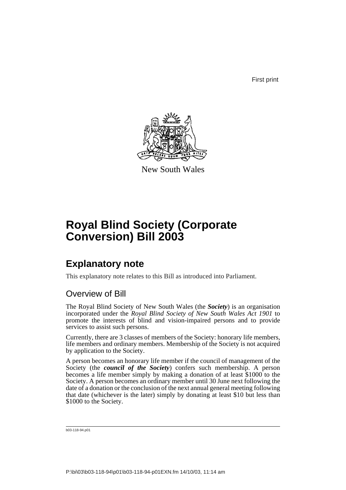First print



New South Wales

# **Royal Blind Society (Corporate Conversion) Bill 2003**

# **Explanatory note**

This explanatory note relates to this Bill as introduced into Parliament.

# Overview of Bill

The Royal Blind Society of New South Wales (the *Society*) is an organisation incorporated under the *Royal Blind Society of New South Wales Act 1901* to promote the interests of blind and vision-impaired persons and to provide services to assist such persons.

Currently, there are 3 classes of members of the Society: honorary life members, life members and ordinary members. Membership of the Society is not acquired by application to the Society.

A person becomes an honorary life member if the council of management of the Society (the *council of the Society*) confers such membership. A person becomes a life member simply by making a donation of at least \$1000 to the Society. A person becomes an ordinary member until 30 June next following the date of a donation or the conclusion of the next annual general meeting following that date (whichever is the later) simply by donating at least \$10 but less than \$1000 to the Society.

b03-118-94.p01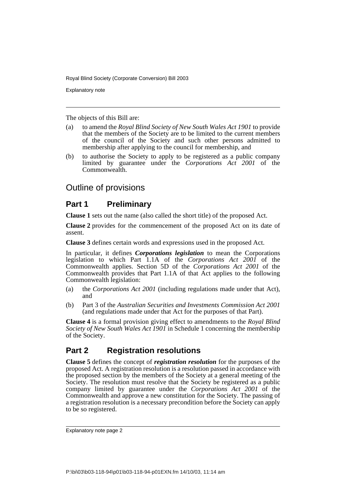Explanatory note

The objects of this Bill are:

- (a) to amend the *Royal Blind Society of New South Wales Act 1901* to provide that the members of the Society are to be limited to the current members of the council of the Society and such other persons admitted to membership after applying to the council for membership, and
- (b) to authorise the Society to apply to be registered as a public company limited by guarantee under the *Corporations Act 2001* of the Commonwealth.

# Outline of provisions

# **Part 1 Preliminary**

**Clause 1** sets out the name (also called the short title) of the proposed Act.

**Clause 2** provides for the commencement of the proposed Act on its date of assent.

**Clause 3** defines certain words and expressions used in the proposed Act.

In particular, it defines *Corporations legislation* to mean the Corporations legislation to which Part 1.1A of the *Corporations Act 2001* of the Commonwealth applies. Section 5D of the *Corporations Act 2001* of the Commonwealth provides that Part 1.1A of that Act applies to the following Commonwealth legislation:

- (a) the *Corporations Act 2001* (including regulations made under that Act), and
- (b) Part 3 of the *Australian Securities and Investments Commission Act 2001* (and regulations made under that Act for the purposes of that Part).

**Clause 4** is a formal provision giving effect to amendments to the *Royal Blind Society of New South Wales Act 1901* in Schedule 1 concerning the membership of the Society.

# **Part 2 Registration resolutions**

**Clause 5** defines the concept of *registration resolution* for the purposes of the proposed Act. A registration resolution is a resolution passed in accordance with the proposed section by the members of the Society at a general meeting of the Society. The resolution must resolve that the Society be registered as a public company limited by guarantee under the *Corporations Act 2001* of the Commonwealth and approve a new constitution for the Society. The passing of a registration resolution is a necessary precondition before the Society can apply to be so registered.

Explanatory note page 2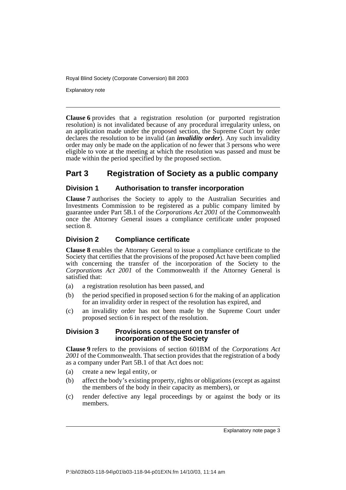Explanatory note

**Clause 6** provides that a registration resolution (or purported registration resolution) is not invalidated because of any procedural irregularity unless, on an application made under the proposed section, the Supreme Court by order declares the resolution to be invalid (an *invalidity order*). Any such invalidity order may only be made on the application of no fewer that 3 persons who were eligible to vote at the meeting at which the resolution was passed and must be made within the period specified by the proposed section.

# **Part 3 Registration of Society as a public company**

## **Division 1 Authorisation to transfer incorporation**

**Clause 7** authorises the Society to apply to the Australian Securities and Investments Commission to be registered as a public company limited by guarantee under Part 5B.1 of the *Corporations Act 2001* of the Commonwealth once the Attorney General issues a compliance certificate under proposed section 8.

## **Division 2 Compliance certificate**

**Clause 8** enables the Attorney General to issue a compliance certificate to the Society that certifies that the provisions of the proposed Act have been complied with concerning the transfer of the incorporation of the Society to the *Corporations Act 2001* of the Commonwealth if the Attorney General is satisfied that:

- (a) a registration resolution has been passed, and
- (b) the period specified in proposed section 6 for the making of an application for an invalidity order in respect of the resolution has expired, and
- (c) an invalidity order has not been made by the Supreme Court under proposed section 6 in respect of the resolution.

## **Division 3 Provisions consequent on transfer of incorporation of the Society**

**Clause 9** refers to the provisions of section 601BM of the *Corporations Act 2001* of the Commonwealth. That section provides that the registration of a body as a company under Part 5B.1 of that Act does not:

- (a) create a new legal entity, or
- (b) affect the body's existing property, rights or obligations (except as against the members of the body in their capacity as members), or
- (c) render defective any legal proceedings by or against the body or its members.

Explanatory note page 3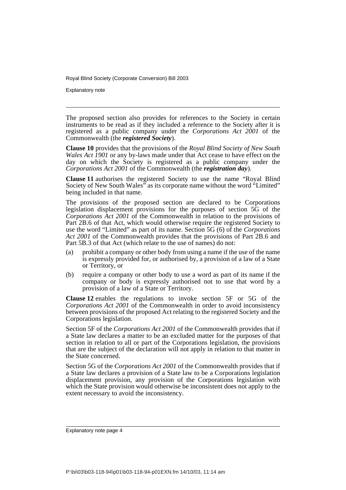Explanatory note

The proposed section also provides for references to the Society in certain instruments to be read as if they included a reference to the Society after it is registered as a public company under the *Corporations Act 2001* of the Commonwealth (the *registered Society*).

**Clause 10** provides that the provisions of the *Royal Blind Society of New South Wales Act 1901* or any by-laws made under that Act cease to have effect on the day on which the Society is registered as a public company under the *Corporations Act 2001* of the Commonwealth (the *registration day*).

**Clause 11** authorises the registered Society to use the name "Royal Blind Society of New South Wales" as its corporate name without the word "Limited" being included in that name.

The provisions of the proposed section are declared to be Corporations legislation displacement provisions for the purposes of section 5G of the *Corporations Act 2001* of the Commonwealth in relation to the provisions of Part 2B.6 of that Act, which would otherwise require the registered Society to use the word "Limited" as part of its name. Section 5G (6) of the *Corporations Act 2001* of the Commonwealth provides that the provisions of Part 2B.6 and Part 5B.3 of that Act (which relate to the use of names) do not:

- (a) prohibit a company or other body from using a name if the use of the name is expressly provided for, or authorised by, a provision of a law of a State or Territory, or
- (b) require a company or other body to use a word as part of its name if the company or body is expressly authorised not to use that word by a provision of a law of a State or Territory.

**Clause 12** enables the regulations to invoke section 5F or 5G of the *Corporations Act 2001* of the Commonwealth in order to avoid inconsistency between provisions of the proposed Act relating to the registered Society and the Corporations legislation.

Section 5F of the *Corporations Act 2001* of the Commonwealth provides that if a State law declares a matter to be an excluded matter for the purposes of that section in relation to all or part of the Corporations legislation, the provisions that are the subject of the declaration will not apply in relation to that matter in the State concerned.

Section 5G of the *Corporations Act 2001* of the Commonwealth provides that if a State law declares a provision of a State law to be a Corporations legislation displacement provision, any provision of the Corporations legislation with which the State provision would otherwise be inconsistent does not apply to the extent necessary to avoid the inconsistency.

Explanatory note page 4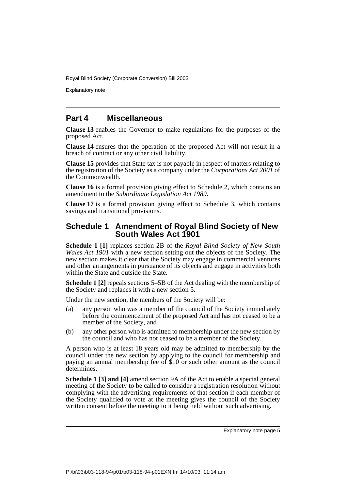Explanatory note

## **Part 4 Miscellaneous**

**Clause 13** enables the Governor to make regulations for the purposes of the proposed Act.

**Clause 14** ensures that the operation of the proposed Act will not result in a breach of contract or any other civil liability.

**Clause 15** provides that State tax is not payable in respect of matters relating to the registration of the Society as a company under the *Corporations Act 2001* of the Commonwealth.

**Clause 16** is a formal provision giving effect to Schedule 2, which contains an amendment to the *Subordinate Legislation Act 1989*.

**Clause 17** is a formal provision giving effect to Schedule 3, which contains savings and transitional provisions.

## **Schedule 1 Amendment of Royal Blind Society of New South Wales Act 1901**

**Schedule 1 [1]** replaces section 2B of the *Royal Blind Society of New South Wales Act 1901* with a new section setting out the objects of the Society. The new section makes it clear that the Society may engage in commercial ventures and other arrangements in pursuance of its objects and engage in activities both within the State and outside the State.

**Schedule 1 [2]** repeals sections 5–5B of the Act dealing with the membership of the Society and replaces it with a new section 5.

Under the new section, the members of the Society will be:

- (a) any person who was a member of the council of the Society immediately before the commencement of the proposed Act and has not ceased to be a member of the Society, and
- (b) any other person who is admitted to membership under the new section by the council and who has not ceased to be a member of the Society.

A person who is at least 18 years old may be admitted to membership by the council under the new section by applying to the council for membership and paying an annual membership fee of \$10 or such other amount as the council determines.

**Schedule 1 [3] and [4]** amend section 9A of the Act to enable a special general meeting of the Society to be called to consider a registration resolution without complying with the advertising requirements of that section if each member of the Society qualified to vote at the meeting gives the council of the Society written consent before the meeting to it being held without such advertising.

Explanatory note page 5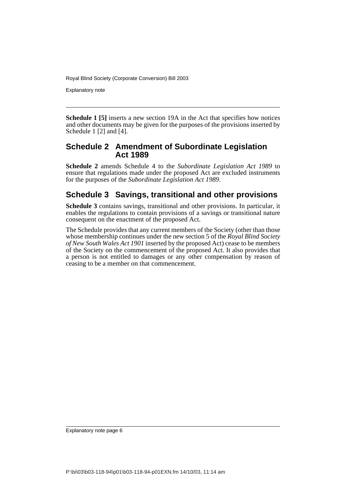Explanatory note

**Schedule 1 [5]** inserts a new section 19A in the Act that specifies how notices and other documents may be given for the purposes of the provisions inserted by Schedule 1 [2] and [4].

## **Schedule 2 Amendment of Subordinate Legislation Act 1989**

**Schedule 2** amends Schedule 4 to the *Subordinate Legislation Act 1989* to ensure that regulations made under the proposed Act are excluded instruments for the purposes of the *Subordinate Legislation Act 1989*.

## **Schedule 3 Savings, transitional and other provisions**

**Schedule 3** contains savings, transitional and other provisions. In particular, it enables the regulations to contain provisions of a savings or transitional nature consequent on the enactment of the proposed Act.

The Schedule provides that any current members of the Society (other than those whose membership continues under the new section 5 of the *Royal Blind Society of New South Wales Act 1901* inserted by the proposed Act) cease to be members of the Society on the commencement of the proposed Act. It also provides that a person is not entitled to damages or any other compensation by reason of ceasing to be a member on that commencement.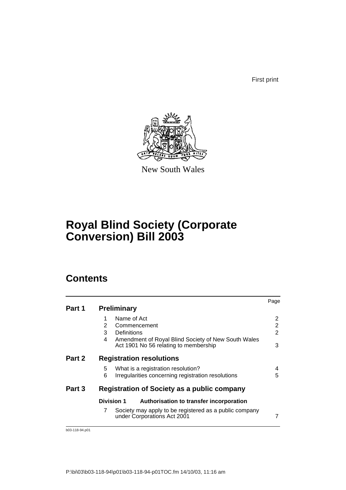First print



New South Wales

# **Royal Blind Society (Corporate Conversion) Bill 2003**

# **Contents**

|        |                                                                                                    | Page   |  |  |
|--------|----------------------------------------------------------------------------------------------------|--------|--|--|
| Part 1 | <b>Preliminary</b>                                                                                 |        |  |  |
|        | Name of Act<br>1                                                                                   | 2      |  |  |
|        | 2<br>Commencement                                                                                  | 2      |  |  |
|        | 3<br>Definitions                                                                                   | 2      |  |  |
|        | Amendment of Royal Blind Society of New South Wales<br>4<br>Act 1901 No 56 relating to membership  | 3      |  |  |
| Part 2 | <b>Registration resolutions</b>                                                                    |        |  |  |
|        | What is a registration resolution?<br>5<br>Irregularities concerning registration resolutions<br>6 | 4<br>5 |  |  |
| Part 3 | <b>Registration of Society as a public company</b>                                                 |        |  |  |
|        | <b>Division 1</b><br>Authorisation to transfer incorporation                                       |        |  |  |
|        | 7<br>Society may apply to be registered as a public company<br>under Corporations Act 2001         | 7      |  |  |

b03-118-94.p01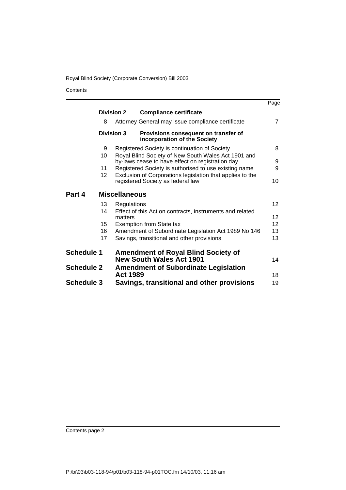**Contents** 

|                   |                                                                                                         | Page              |
|-------------------|---------------------------------------------------------------------------------------------------------|-------------------|
|                   | <b>Division 2</b><br><b>Compliance certificate</b>                                                      |                   |
| 8                 | Attorney General may issue compliance certificate                                                       | 7                 |
|                   | <b>Division 3</b><br>Provisions consequent on transfer of<br>incorporation of the Society               |                   |
| 9                 | Registered Society is continuation of Society                                                           | 8                 |
| 10                | Royal Blind Society of New South Wales Act 1901 and<br>by-laws cease to have effect on registration day | 9                 |
| 11                | Registered Society is authorised to use existing name                                                   | 9                 |
| 12 <sup>2</sup>   | Exclusion of Corporations legislation that applies to the<br>registered Society as federal law          | 10                |
| Part 4            | <b>Miscellaneous</b>                                                                                    |                   |
| 13                | Regulations                                                                                             | 12                |
| 14                | Effect of this Act on contracts, instruments and related<br>matters                                     | $12 \overline{ }$ |
| 15                | <b>Exemption from State tax</b>                                                                         | 12                |
| 16                | Amendment of Subordinate Legislation Act 1989 No 146                                                    | 13                |
| 17                | Savings, transitional and other provisions                                                              | 13                |
| <b>Schedule 1</b> | <b>Amendment of Royal Blind Society of</b><br><b>New South Wales Act 1901</b>                           | 14                |
| <b>Schedule 2</b> | <b>Amendment of Subordinate Legislation</b><br><b>Act 1989</b>                                          | 18                |
| <b>Schedule 3</b> | Savings, transitional and other provisions                                                              | 19                |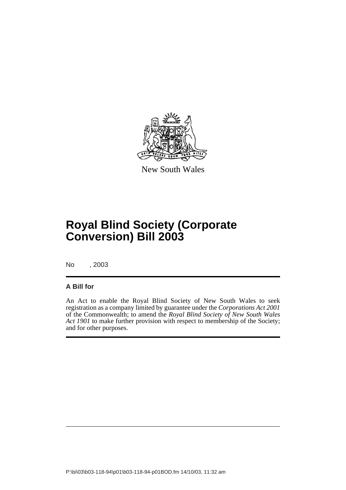

New South Wales

# **Royal Blind Society (Corporate Conversion) Bill 2003**

No , 2003

## **A Bill for**

An Act to enable the Royal Blind Society of New South Wales to seek registration as a company limited by guarantee under the *Corporations Act 2001* of the Commonwealth; to amend the *Royal Blind Society of New South Wales Act 1901* to make further provision with respect to membership of the Society; and for other purposes.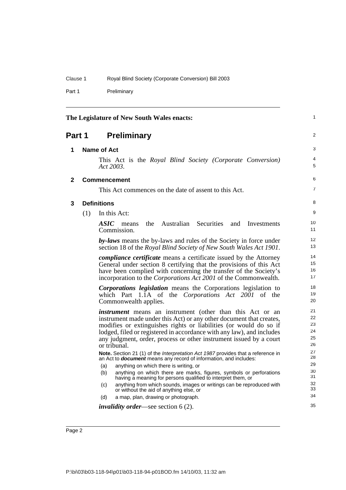Part 1 Preliminary

<span id="page-9-3"></span><span id="page-9-2"></span><span id="page-9-1"></span><span id="page-9-0"></span>

| The Legislature of New South Wales enacts: |                                                                                                                                                                                                                                                                                              |                                                                                                                                                                                                                                                                                                                                                                             |                                  |  |
|--------------------------------------------|----------------------------------------------------------------------------------------------------------------------------------------------------------------------------------------------------------------------------------------------------------------------------------------------|-----------------------------------------------------------------------------------------------------------------------------------------------------------------------------------------------------------------------------------------------------------------------------------------------------------------------------------------------------------------------------|----------------------------------|--|
| Part 1                                     |                                                                                                                                                                                                                                                                                              | <b>Preliminary</b>                                                                                                                                                                                                                                                                                                                                                          | 2                                |  |
| 1                                          |                                                                                                                                                                                                                                                                                              | <b>Name of Act</b>                                                                                                                                                                                                                                                                                                                                                          | 3                                |  |
|                                            |                                                                                                                                                                                                                                                                                              | This Act is the Royal Blind Society (Corporate Conversion)<br>Act $2003$ .                                                                                                                                                                                                                                                                                                  | 4<br>5                           |  |
| $\mathbf{2}$                               |                                                                                                                                                                                                                                                                                              | <b>Commencement</b>                                                                                                                                                                                                                                                                                                                                                         | 6                                |  |
|                                            |                                                                                                                                                                                                                                                                                              | This Act commences on the date of assent to this Act.                                                                                                                                                                                                                                                                                                                       | $\overline{7}$                   |  |
| 3                                          |                                                                                                                                                                                                                                                                                              | <b>Definitions</b>                                                                                                                                                                                                                                                                                                                                                          | 8                                |  |
|                                            | (1)                                                                                                                                                                                                                                                                                          | In this Act:                                                                                                                                                                                                                                                                                                                                                                | 9                                |  |
|                                            |                                                                                                                                                                                                                                                                                              | ASIC<br>the<br>Australian<br>Securities<br>and<br>Investments<br>means<br>Commission.                                                                                                                                                                                                                                                                                       | 10<br>11                         |  |
|                                            | by-laws means the by-laws and rules of the Society in force under<br>section 18 of the Royal Blind Society of New South Wales Act 1901.                                                                                                                                                      |                                                                                                                                                                                                                                                                                                                                                                             | 12<br>13                         |  |
|                                            | <i>compliance certificate</i> means a certificate issued by the Attorney<br>General under section 8 certifying that the provisions of this Act<br>have been complied with concerning the transfer of the Society's<br>incorporation to the <i>Corporations Act 2001</i> of the Commonwealth. |                                                                                                                                                                                                                                                                                                                                                                             |                                  |  |
|                                            |                                                                                                                                                                                                                                                                                              | <b>Corporations legislation</b> means the Corporations legislation to<br>which Part 1.1A of the Corporations Act 2001 of the<br>Commonwealth applies.                                                                                                                                                                                                                       | 18<br>19<br>20                   |  |
|                                            |                                                                                                                                                                                                                                                                                              | <i>instrument</i> means an instrument (other than this Act or an<br>instrument made under this Act) or any other document that creates,<br>modifies or extinguishes rights or liabilities (or would do so if<br>lodged, filed or registered in accordance with any law), and includes<br>any judgment, order, process or other instrument issued by a court<br>or tribunal. | 21<br>22<br>23<br>24<br>25<br>26 |  |
|                                            |                                                                                                                                                                                                                                                                                              | Note. Section 21 (1) of the Interpretation Act 1987 provides that a reference in<br>an Act to <b>document</b> means any record of information, and includes:                                                                                                                                                                                                                | 27<br>28                         |  |
|                                            |                                                                                                                                                                                                                                                                                              | anything on which there is writing, or<br>(a)                                                                                                                                                                                                                                                                                                                               | 29                               |  |
|                                            |                                                                                                                                                                                                                                                                                              | anything on which there are marks, figures, symbols or perforations<br>(b)<br>having a meaning for persons qualified to interpret them, or                                                                                                                                                                                                                                  | 30<br>31                         |  |
|                                            |                                                                                                                                                                                                                                                                                              | anything from which sounds, images or writings can be reproduced with<br>(c)<br>or without the aid of anything else, or                                                                                                                                                                                                                                                     | 32<br>33                         |  |
|                                            |                                                                                                                                                                                                                                                                                              | a map, plan, drawing or photograph.<br>(d)                                                                                                                                                                                                                                                                                                                                  | 34                               |  |
|                                            |                                                                                                                                                                                                                                                                                              | <i>invalidity order—see section</i> $6(2)$ .                                                                                                                                                                                                                                                                                                                                | 35                               |  |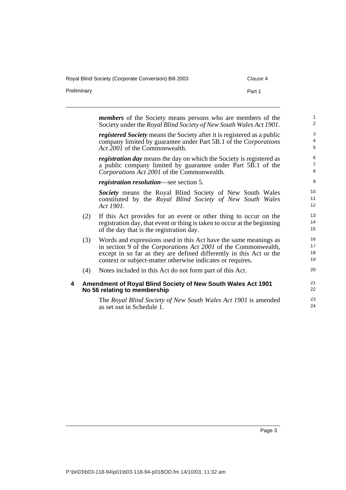Royal Blind Society (Corporate Conversion) Bill 2003 Clause 4

Preliminary **Preliminary Part 1** 

<span id="page-10-0"></span>*members* of the Society means persons who are members of the Society under the *Royal Blind Society of New South Wales Act 1901*. *registered Society* means the Society after it is registered as a public company limited by guarantee under Part 5B.1 of the *Corporations Act 2001* of the Commonwealth. *registration day* means the day on which the Society is registered as a public company limited by guarantee under Part 5B.1 of the *Corporations Act 2001* of the Commonwealth. *registration resolution*—see section 5. *Society* means the Royal Blind Society of New South Wales constituted by the *Royal Blind Society of New South Wales Act 1901*. (2) If this Act provides for an event or other thing to occur on the registration day, that event or thing is taken to occur at the beginning of the day that is the registration day. (3) Words and expressions used in this Act have the same meanings as in section 9 of the *Corporations Act 2001* of the Commonwealth, except in so far as they are defined differently in this Act or the context or subject-matter otherwise indicates or requires. (4) Notes included in this Act do not form part of this Act. **4 Amendment of Royal Blind Society of New South Wales Act 1901 No 56 relating to membership** The *Royal Blind Society of New South Wales Act 1901* is amended as set out in Schedule 1. 1  $\overline{2}$ 3 4 5 6 7 8 9 10 11 12 13 14 15 16 17 18 19 20 21 22 23 24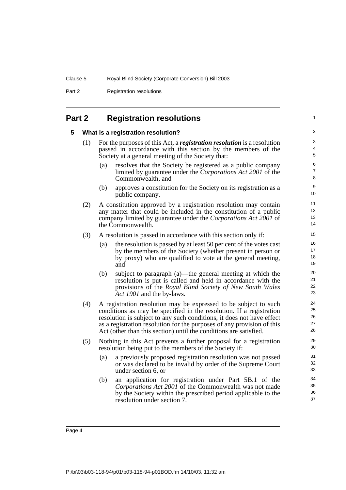Part 2 Registration resolutions

## <span id="page-11-1"></span><span id="page-11-0"></span>**Part 2 Registration resolutions**

#### **5 What is a registration resolution?**

- (1) For the purposes of this Act, a *registration resolution* is a resolution passed in accordance with this section by the members of the Society at a general meeting of the Society that:
	- (a) resolves that the Society be registered as a public company limited by guarantee under the *Corporations Act 2001* of the Commonwealth, and

1

- (b) approves a constitution for the Society on its registration as a public company.
- (2) A constitution approved by a registration resolution may contain any matter that could be included in the constitution of a public company limited by guarantee under the *Corporations Act 2001* of the Commonwealth.
- (3) A resolution is passed in accordance with this section only if:
	- (a) the resolution is passed by at least 50 per cent of the votes cast by the members of the Society (whether present in person or by proxy) who are qualified to vote at the general meeting, and
	- (b) subject to paragraph (a)—the general meeting at which the resolution is put is called and held in accordance with the provisions of the *Royal Blind Society of New South Wales Act 1901* and the by-laws.
- (4) A registration resolution may be expressed to be subject to such conditions as may be specified in the resolution. If a registration resolution is subject to any such conditions, it does not have effect as a registration resolution for the purposes of any provision of this Act (other than this section) until the conditions are satisfied.
- (5) Nothing in this Act prevents a further proposal for a registration resolution being put to the members of the Society if:
	- (a) a previously proposed registration resolution was not passed or was declared to be invalid by order of the Supreme Court under section 6, or
	- (b) an application for registration under Part 5B.1 of the *Corporations Act 2001* of the Commonwealth was not made by the Society within the prescribed period applicable to the resolution under section 7.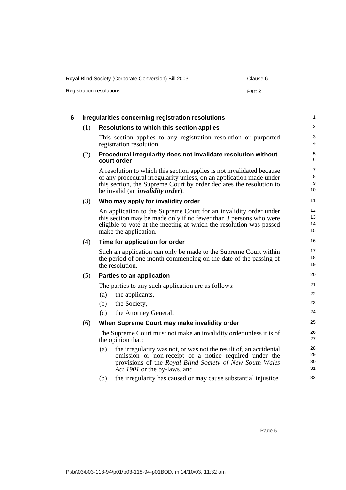Royal Blind Society (Corporate Conversion) Bill 2003 Clause 6

Registration resolutions **Part 2** 

<span id="page-12-0"></span>

| 6 |     | Irregularities concerning registration resolutions                                                                                                                                                                                                               | $\mathbf{1}$                                        |
|---|-----|------------------------------------------------------------------------------------------------------------------------------------------------------------------------------------------------------------------------------------------------------------------|-----------------------------------------------------|
|   | (1) | Resolutions to which this section applies                                                                                                                                                                                                                        | 2                                                   |
|   |     | This section applies to any registration resolution or purported<br>registration resolution.                                                                                                                                                                     | 3<br>4                                              |
|   | (2) | Procedural irregularity does not invalidate resolution without<br>court order                                                                                                                                                                                    | $\,$ 5 $\,$<br>6                                    |
|   |     | A resolution to which this section applies is not invalidated because<br>of any procedural irregularity unless, on an application made under<br>this section, the Supreme Court by order declares the resolution to<br>be invalid (an <i>invalidity order</i> ). | $\overline{7}$<br>$\,8\,$<br>$\boldsymbol{9}$<br>10 |
|   | (3) | Who may apply for invalidity order                                                                                                                                                                                                                               | 11                                                  |
|   |     | An application to the Supreme Court for an invalidity order under<br>this section may be made only if no fewer than 3 persons who were<br>eligible to vote at the meeting at which the resolution was passed<br>make the application.                            | 12<br>13<br>14<br>15                                |
|   | (4) | Time for application for order                                                                                                                                                                                                                                   | 16                                                  |
|   |     | Such an application can only be made to the Supreme Court within<br>the period of one month commencing on the date of the passing of<br>the resolution.                                                                                                          | 17<br>18<br>19                                      |
|   | (5) | Parties to an application                                                                                                                                                                                                                                        | 20                                                  |
|   |     | The parties to any such application are as follows:                                                                                                                                                                                                              | 21                                                  |
|   |     | the applicants,<br>(a)                                                                                                                                                                                                                                           | 22                                                  |
|   |     | the Society,<br>(b)                                                                                                                                                                                                                                              | 23                                                  |
|   |     | (c)<br>the Attorney General.                                                                                                                                                                                                                                     | 24                                                  |
|   | (6) | When Supreme Court may make invalidity order                                                                                                                                                                                                                     | 25                                                  |
|   |     | The Supreme Court must not make an invalidity order unless it is of<br>the opinion that:                                                                                                                                                                         | 26<br>27                                            |
|   |     | the irregularity was not, or was not the result of, an accidental<br>(a)<br>omission or non-receipt of a notice required under the<br>provisions of the Royal Blind Society of New South Wales<br>Act 1901 or the by-laws, and                                   | 28<br>29<br>30<br>31                                |
|   |     | the irregularity has caused or may cause substantial injustice.<br>(b)                                                                                                                                                                                           | 32                                                  |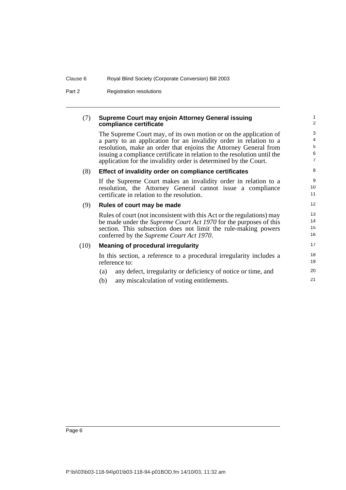Part 2 Registration resolutions

### (7) **Supreme Court may enjoin Attorney General issuing compliance certificate**

The Supreme Court may, of its own motion or on the application of a party to an application for an invalidity order in relation to a resolution, make an order that enjoins the Attorney General from issuing a compliance certificate in relation to the resolution until the application for the invalidity order is determined by the Court.

### (8) **Effect of invalidity order on compliance certificates**

If the Supreme Court makes an invalidity order in relation to a resolution, the Attorney General cannot issue a compliance certificate in relation to the resolution.

## (9) **Rules of court may be made**

Rules of court (not inconsistent with this Act or the regulations) may be made under the *Supreme Court Act 1970* for the purposes of this section. This subsection does not limit the rule-making powers conferred by the *Supreme Court Act 1970*.

#### (10) **Meaning of procedural irregularity**

In this section, a reference to a procedural irregularity includes a reference to:

- (a) any defect, irregularity or deficiency of notice or time, and
- (b) any miscalculation of voting entitlements.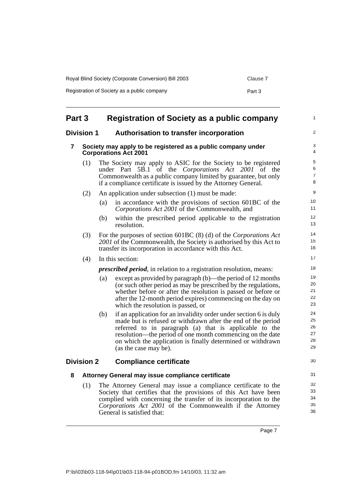| Royal Blind Society (Corporate Conversion) Bill 2003 | Clause 7 |
|------------------------------------------------------|----------|
| Registration of Society as a public company          | Part 3   |

<span id="page-14-4"></span><span id="page-14-3"></span><span id="page-14-2"></span><span id="page-14-1"></span><span id="page-14-0"></span>

| Part 3            |                                                                                              | <b>Registration of Society as a public company</b>                                                                                                                                                                                                                                                                                                      | $\mathbf{1}$                     |
|-------------------|----------------------------------------------------------------------------------------------|---------------------------------------------------------------------------------------------------------------------------------------------------------------------------------------------------------------------------------------------------------------------------------------------------------------------------------------------------------|----------------------------------|
| <b>Division 1</b> |                                                                                              | Authorisation to transfer incorporation                                                                                                                                                                                                                                                                                                                 | 2                                |
| 7                 | Society may apply to be registered as a public company under<br><b>Corporations Act 2001</b> |                                                                                                                                                                                                                                                                                                                                                         |                                  |
|                   | (1)                                                                                          | The Society may apply to ASIC for the Society to be registered<br>under Part 5B.1<br>of the <i>Corporations</i> Act 2001 of the<br>Commonwealth as a public company limited by guarantee, but only<br>if a compliance certificate is issued by the Attorney General.                                                                                    | 5<br>6<br>$\overline{7}$<br>8    |
|                   | (2)                                                                                          | An application under subsection (1) must be made:                                                                                                                                                                                                                                                                                                       | 9                                |
|                   |                                                                                              | in accordance with the provisions of section 601BC of the<br>(a)<br>Corporations Act 2001 of the Commonwealth, and                                                                                                                                                                                                                                      | 10<br>11                         |
|                   |                                                                                              | within the prescribed period applicable to the registration<br>(b)<br>resolution.                                                                                                                                                                                                                                                                       | 12<br>13                         |
|                   | (3)                                                                                          | For the purposes of section 601BC $(8)$ $(d)$ of the Corporations Act<br>2001 of the Commonwealth, the Society is authorised by this Act to<br>transfer its incorporation in accordance with this Act.                                                                                                                                                  | 14<br>15<br>16                   |
|                   | In this section:<br>(4)                                                                      |                                                                                                                                                                                                                                                                                                                                                         |                                  |
|                   | <i>prescribed period</i> , in relation to a registration resolution, means:                  |                                                                                                                                                                                                                                                                                                                                                         | 18                               |
|                   |                                                                                              | except as provided by paragraph (b)—the period of 12 months<br>(a)<br>(or such other period as may be prescribed by the regulations,<br>whether before or after the resolution is passed or before or<br>after the 12-month period expires) commencing on the day on<br>which the resolution is passed, or                                              | 19<br>20<br>21<br>22<br>23       |
|                   |                                                                                              | if an application for an invalidity order under section 6 is duly<br>(b)<br>made but is refused or withdrawn after the end of the period<br>referred to in paragraph (a) that is applicable to the<br>resolution—the period of one month commencing on the date<br>on which the application is finally determined or withdrawn<br>(as the case may be). | 24<br>25<br>26<br>27<br>28<br>29 |
| <b>Division 2</b> |                                                                                              | <b>Compliance certificate</b>                                                                                                                                                                                                                                                                                                                           | 30                               |
| 8                 |                                                                                              | Attorney General may issue compliance certificate                                                                                                                                                                                                                                                                                                       | 31                               |
|                   | (1)                                                                                          | The Attorney General may issue a compliance certificate to the<br>Society that certifies that the provisions of this Act have been<br>complied with concerning the transfer of its incorporation to the<br>Corporations Act 2001 of the Commonwealth if the Attorney<br>General is satisfied that:                                                      | 32<br>33<br>34<br>35<br>36       |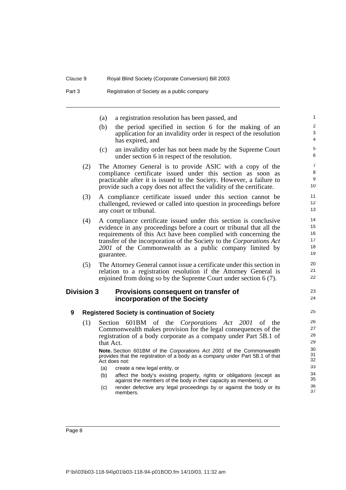| (a) a registration resolution has been passed, and   |
|------------------------------------------------------|
| (b) the period specified in section 6 for the making |

g of an application for an invalidity order in respect of the resolution has expired, and

23 24

- (c) an invalidity order has not been made by the Supreme Court under section 6 in respect of the resolution.
- (2) The Attorney General is to provide ASIC with a copy of the compliance certificate issued under this section as soon as practicable after it is issued to the Society. However, a failure to provide such a copy does not affect the validity of the certificate.
- (3) A compliance certificate issued under this section cannot be challenged, reviewed or called into question in proceedings before any court or tribunal.
- (4) A compliance certificate issued under this section is conclusive evidence in any proceedings before a court or tribunal that all the requirements of this Act have been complied with concerning the transfer of the incorporation of the Society to the *Corporations Act 2001* of the Commonwealth as a public company limited by guarantee.
- (5) The Attorney General cannot issue a certificate under this section in relation to a registration resolution if the Attorney General is enjoined from doing so by the Supreme Court under section 6 (7).

### <span id="page-15-0"></span>**Division 3 Provisions consequent on transfer of incorporation of the Society**

#### <span id="page-15-1"></span>**9 Registered Society is continuation of Society**

(1) Section 601BM of the *Corporations Act 2001* of the Commonwealth makes provision for the legal consequences of the registration of a body corporate as a company under Part 5B.1 of that Act.

**Note.** Section 601BM of the Corporations Act 2001 of the Commonwealth provides that the registration of a body as a company under Part 5B.1 of that Act does not:

- (a) create a new legal entity, or
- (b) affect the body's existing property, rights or obligations (except as against the members of the body in their capacity as members), or
- (c) render defective any legal proceedings by or against the body or its members.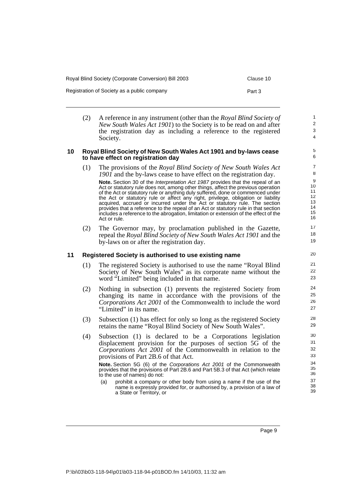Registration of Society as a public company example of the Part 3

- 
- (2) A reference in any instrument (other than the *Royal Blind Society of New South Wales Act 1901*) to the Society is to be read on and after the registration day as including a reference to the registered Society.

#### <span id="page-16-0"></span>**10 Royal Blind Society of New South Wales Act 1901 and by-laws cease to have effect on registration day**

(1) The provisions of the *Royal Blind Society of New South Wales Act 1901* and the by-laws cease to have effect on the registration day.

**Note.** Section 30 of the Interpretation Act 1987 provides that the repeal of an Act or statutory rule does not, among other things, affect the previous operation of the Act or statutory rule or anything duly suffered, done or commenced under the Act or statutory rule or affect any right, privilege, obligation or liability acquired, accrued or incurred under the Act or statutory rule. The section provides that a reference to the repeal of an Act or statutory rule in that section includes a reference to the abrogation, limitation or extension of the effect of the Act or rule.

(2) The Governor may, by proclamation published in the Gazette, repeal the *Royal Blind Society of New South Wales Act 1901* and the by-laws on or after the registration day.

### <span id="page-16-1"></span>**11 Registered Society is authorised to use existing name**

- (1) The registered Society is authorised to use the name "Royal Blind Society of New South Wales" as its corporate name without the word "Limited" being included in that name.
- (2) Nothing in subsection (1) prevents the registered Society from changing its name in accordance with the provisions of the *Corporations Act 2001* of the Commonwealth to include the word "Limited" in its name.
- (3) Subsection (1) has effect for only so long as the registered Society retains the name "Royal Blind Society of New South Wales".
- (4) Subsection (1) is declared to be a Corporations legislation displacement provision for the purposes of section 5G of the *Corporations Act 2001* of the Commonwealth in relation to the provisions of Part 2B.6 of that Act.

**Note.** Section 5G (6) of the Corporations Act 2001 of the Commonwealth provides that the provisions of Part 2B.6 and Part 5B.3 of that Act (which relate to the use of names) do not:

(a) prohibit a company or other body from using a name if the use of the name is expressly provided for, or authorised by, a provision of a law of a State or Territory, or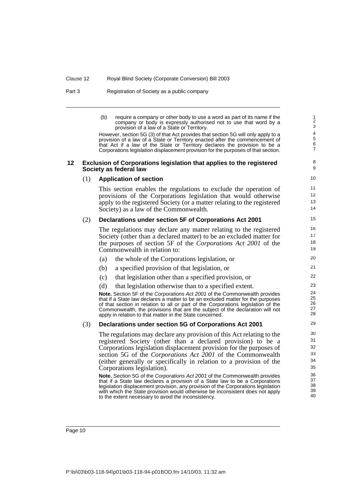Part 3 Registration of Society as a public company

(b) require a company or other body to use a word as part of its name if the company or body is expressly authorised not to use that word by a provision of a law of a State or Territory.

However, section 5G (3) of that Act provides that section 5G will only apply to a provision of a law of a State or Territory enacted after the commencement of that Act if a law of the State or Territory declares the provision to be a Corporations legislation displacement provision for the purposes of that section.

#### <span id="page-17-0"></span>**12 Exclusion of Corporations legislation that applies to the registered Society as federal law**

9 10

8

### (1) **Application of section**

This section enables the regulations to exclude the operation of provisions of the Corporations legislation that would otherwise apply to the registered Society (or a matter relating to the registered Society) as a law of the Commonwealth.

#### (2) **Declarations under section 5F of Corporations Act 2001**

The regulations may declare any matter relating to the registered Society (other than a declared matter) to be an excluded matter for the purposes of section 5F of the *Corporations Act 2001* of the Commonwealth in relation to:

- (a) the whole of the Corporations legislation, or
- (b) a specified provision of that legislation, or
- (c) that legislation other than a specified provision, or
- (d) that legislation otherwise than to a specified extent.

**Note.** Section 5F of the Corporations Act 2001 of the Commonwealth provides that if a State law declares a matter to be an excluded matter for the purposes of that section in relation to all or part of the Corporations legislation of the Commonwealth, the provisions that are the subject of the declaration will not apply in relation to that matter in the State concerned.

#### (3) **Declarations under section 5G of Corporations Act 2001**

The regulations may declare any provision of this Act relating to the registered Society (other than a declared provision) to be a Corporations legislation displacement provision for the purposes of section 5G of the *Corporations Act 2001* of the Commonwealth (either generally or specifically in relation to a provision of the Corporations legislation).

**Note.** Section 5G of the Corporations Act 2001 of the Commonwealth provides that if a State law declares a provision of a State law to be a Corporations legislation displacement provision, any provision of the Corporations legislation with which the State provision would otherwise be inconsistent does not apply to the extent necessary to avoid the inconsistency.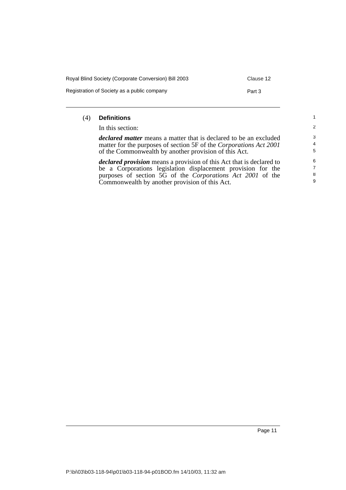| Royal Blind Society (Corporate Conversion) Bill 2003 | Clause 12 |
|------------------------------------------------------|-----------|
| Registration of Society as a public company          | Part 3    |

### (4) **Definitions**

In this section:

*declared matter* means a matter that is declared to be an excluded matter for the purposes of section 5F of the *Corporations Act 2001* of the Commonwealth by another provision of this Act.

*declared provision* means a provision of this Act that is declared to be a Corporations legislation displacement provision for the purposes of section 5G of the *Corporations Act 2001* of the Commonwealth by another provision of this Act.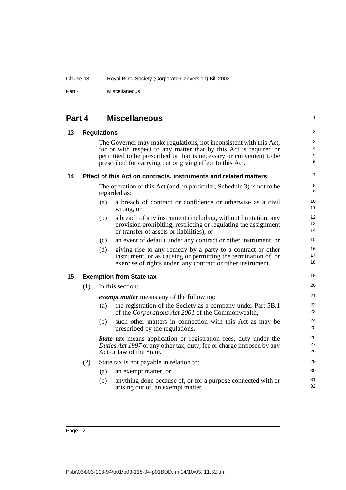Part 4 Miscellaneous

<span id="page-19-3"></span><span id="page-19-2"></span><span id="page-19-1"></span><span id="page-19-0"></span>

| Part 4 |                    |     | <b>Miscellaneous</b>                                                                                                                                                                                                                                                        | 1              |  |  |  |
|--------|--------------------|-----|-----------------------------------------------------------------------------------------------------------------------------------------------------------------------------------------------------------------------------------------------------------------------------|----------------|--|--|--|
| 13     | <b>Regulations</b> |     |                                                                                                                                                                                                                                                                             |                |  |  |  |
|        |                    |     | The Governor may make regulations, not inconsistent with this Act,<br>for or with respect to any matter that by this Act is required or<br>permitted to be prescribed or that is necessary or convenient to be<br>prescribed for carrying out or giving effect to this Act. |                |  |  |  |
| 14     |                    |     | Effect of this Act on contracts, instruments and related matters                                                                                                                                                                                                            | 7              |  |  |  |
|        |                    |     | The operation of this Act (and, in particular, Schedule 3) is not to be<br>regarded as:                                                                                                                                                                                     | 8<br>9         |  |  |  |
|        |                    | (a) | a breach of contract or confidence or otherwise as a civil<br>wrong, or                                                                                                                                                                                                     | 10<br>11       |  |  |  |
|        |                    | (b) | a breach of any instrument (including, without limitation, any<br>provision prohibiting, restricting or regulating the assignment<br>or transfer of assets or liabilities), or                                                                                              | 12<br>13<br>14 |  |  |  |
|        |                    | (c) | an event of default under any contract or other instrument, or                                                                                                                                                                                                              | 15             |  |  |  |
|        |                    | (d) | giving rise to any remedy by a party to a contract or other<br>instrument, or as causing or permitting the termination of, or<br>exercise of rights under, any contract or other instrument.                                                                                | 16<br>17<br>18 |  |  |  |
| 15     |                    |     | <b>Exemption from State tax</b>                                                                                                                                                                                                                                             | 19             |  |  |  |
|        | (1)                |     | In this section:                                                                                                                                                                                                                                                            | 20             |  |  |  |
|        |                    |     | <i>exempt matter</i> means any of the following:                                                                                                                                                                                                                            | 21             |  |  |  |
|        |                    | (a) | the registration of the Society as a company under Part 5B.1<br>of the Corporations Act 2001 of the Commonwealth,                                                                                                                                                           | 22<br>23       |  |  |  |
|        |                    | (b) | such other matters in connection with this Act as may be<br>prescribed by the regulations.                                                                                                                                                                                  | 24<br>25       |  |  |  |
|        |                    |     | State tax means application or registration fees, duty under the<br>Duties Act 1997 or any other tax, duty, fee or charge imposed by any<br>Act or law of the State.                                                                                                        | 26<br>27<br>28 |  |  |  |
|        | (2)                |     | State tax is not payable in relation to:                                                                                                                                                                                                                                    | 29             |  |  |  |
|        |                    | (a) | an exempt matter, or                                                                                                                                                                                                                                                        | 30             |  |  |  |
|        |                    | (b) | anything done because of, or for a purpose connected with or<br>arising out of, an exempt matter.                                                                                                                                                                           | 31<br>32       |  |  |  |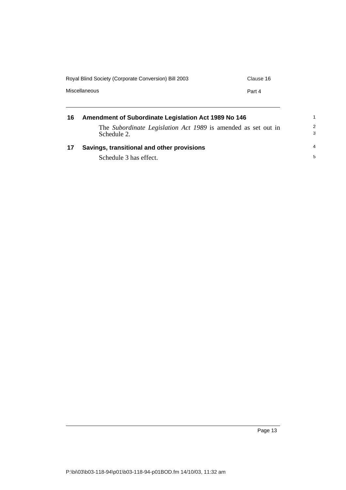| Amendment of Subordinate Legislation Act 1989 No 146              |  |  |  |  |
|-------------------------------------------------------------------|--|--|--|--|
| Miscellaneous<br>Part 4                                           |  |  |  |  |
| Royal Blind Society (Corporate Conversion) Bill 2003<br>Clause 16 |  |  |  |  |

<span id="page-20-1"></span><span id="page-20-0"></span>

| 16 | Amendment of Subordinate Legislation Act 1989 No 146                         |                    |
|----|------------------------------------------------------------------------------|--------------------|
|    | The Subordinate Legislation Act 1989 is amended as set out in<br>Schedule 2. | $\mathcal{P}$<br>3 |
| 17 | Savings, transitional and other provisions                                   | $\overline{4}$     |
|    | Schedule 3 has effect.                                                       | 5                  |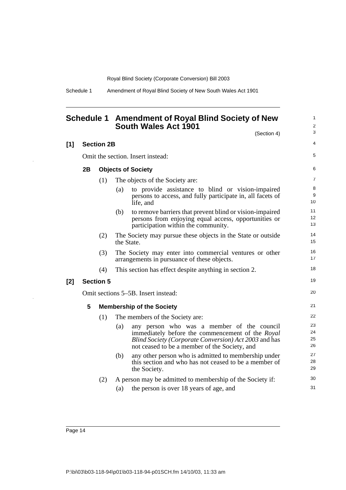Schedule 1 Amendment of Royal Blind Society of New South Wales Act 1901

<span id="page-21-0"></span>

|     |    |                   | Schedule 1 Amendment of Royal Blind Society of New<br>South Wales Act 1901                                                                                                                                      | $\mathbf{1}$<br>$\overline{2}$ |
|-----|----|-------------------|-----------------------------------------------------------------------------------------------------------------------------------------------------------------------------------------------------------------|--------------------------------|
|     |    |                   | (Section 4)                                                                                                                                                                                                     | 3                              |
| [1] |    | <b>Section 2B</b> |                                                                                                                                                                                                                 | 4                              |
|     |    |                   | Omit the section. Insert instead:                                                                                                                                                                               | 5                              |
|     | 2B |                   | <b>Objects of Society</b>                                                                                                                                                                                       | 6                              |
|     |    | (1)               | The objects of the Society are:                                                                                                                                                                                 | $\overline{7}$                 |
|     |    |                   | to provide assistance to blind or vision-impaired<br>(a)<br>persons to access, and fully participate in, all facets of<br>life, and                                                                             | 8<br>9<br>10                   |
|     |    |                   | to remove barriers that prevent blind or vision-impaired<br>(b)<br>persons from enjoying equal access, opportunities or<br>participation within the community.                                                  | 11<br>12<br>13                 |
|     |    | (2)               | The Society may pursue these objects in the State or outside<br>the State.                                                                                                                                      | 14<br>15                       |
|     |    | (3)               | The Society may enter into commercial ventures or other<br>arrangements in pursuance of these objects.                                                                                                          | 16<br>17                       |
|     |    | (4)               | This section has effect despite anything in section 2.                                                                                                                                                          | 18                             |
| [2] |    | <b>Section 5</b>  |                                                                                                                                                                                                                 | 19                             |
|     |    |                   | Omit sections 5–5B. Insert instead:                                                                                                                                                                             | 20                             |
|     | 5  |                   | <b>Membership of the Society</b>                                                                                                                                                                                | 21                             |
|     |    | (1)               | The members of the Society are:                                                                                                                                                                                 | 22                             |
|     |    |                   | any person who was a member of the council<br>(a)<br>immediately before the commencement of the Royal<br>Blind Society (Corporate Conversion) Act 2003 and has<br>not ceased to be a member of the Society, and | 23<br>24<br>25<br>26           |
|     |    |                   | any other person who is admitted to membership under<br>(b)<br>this section and who has not ceased to be a member of<br>the Society.                                                                            | 27<br>28<br>29                 |
|     |    | (2)               | A person may be admitted to membership of the Society if:                                                                                                                                                       | 30                             |
|     |    |                   | the person is over 18 years of age, and<br>(a)                                                                                                                                                                  | 31                             |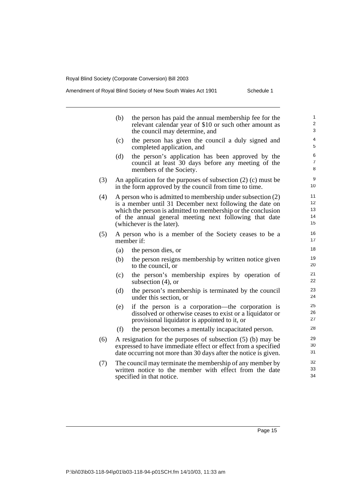## Amendment of Royal Blind Society of New South Wales Act 1901 Schedule 1

|     | (b)                                                                                                                                                                                             | the person has paid the annual membership fee for the<br>relevant calendar year of \$10 or such other amount as<br>the council may determine, and                                                                                                                              | 1<br>$\overline{2}$<br>3   |  |  |
|-----|-------------------------------------------------------------------------------------------------------------------------------------------------------------------------------------------------|--------------------------------------------------------------------------------------------------------------------------------------------------------------------------------------------------------------------------------------------------------------------------------|----------------------------|--|--|
|     | (c)                                                                                                                                                                                             | the person has given the council a duly signed and<br>completed application, and                                                                                                                                                                                               | 4<br>5                     |  |  |
|     | (d)                                                                                                                                                                                             | the person's application has been approved by the<br>council at least 30 days before any meeting of the<br>members of the Society.                                                                                                                                             | 6<br>$\overline{7}$<br>8   |  |  |
| (3) |                                                                                                                                                                                                 | 9<br>An application for the purposes of subsection $(2)$ (c) must be<br>10<br>in the form approved by the council from time to time.                                                                                                                                           |                            |  |  |
| (4) |                                                                                                                                                                                                 | A person who is admitted to membership under subsection (2)<br>is a member until 31 December next following the date on<br>which the person is admitted to membership or the conclusion<br>of the annual general meeting next following that date<br>(whichever is the later). | 11<br>12<br>13<br>14<br>15 |  |  |
| (5) |                                                                                                                                                                                                 | A person who is a member of the Society ceases to be a<br>member if:                                                                                                                                                                                                           | 16<br>17                   |  |  |
|     | (a)                                                                                                                                                                                             | the person dies, or                                                                                                                                                                                                                                                            | 18                         |  |  |
|     | (b)                                                                                                                                                                                             | the person resigns membership by written notice given<br>to the council, or                                                                                                                                                                                                    | 19<br>20                   |  |  |
|     | (c)                                                                                                                                                                                             | the person's membership expires by operation of<br>subsection $(4)$ , or                                                                                                                                                                                                       | 21<br>22                   |  |  |
|     | (d)                                                                                                                                                                                             | the person's membership is terminated by the council<br>under this section, or                                                                                                                                                                                                 | 23<br>24                   |  |  |
|     | (e)                                                                                                                                                                                             | if the person is a corporation—the corporation is<br>dissolved or otherwise ceases to exist or a liquidator or<br>provisional liquidator is appointed to it, or                                                                                                                | 25<br>26<br>27             |  |  |
|     | (f)                                                                                                                                                                                             | the person becomes a mentally incapacitated person.                                                                                                                                                                                                                            | 28                         |  |  |
| (6) | A resignation for the purposes of subsection (5) (b) may be<br>expressed to have immediate effect or effect from a specified<br>date occurring not more than 30 days after the notice is given. |                                                                                                                                                                                                                                                                                |                            |  |  |
| (7) | 32<br>The council may terminate the membership of any member by<br>33<br>written notice to the member with effect from the date<br>34<br>specified in that notice.                              |                                                                                                                                                                                                                                                                                |                            |  |  |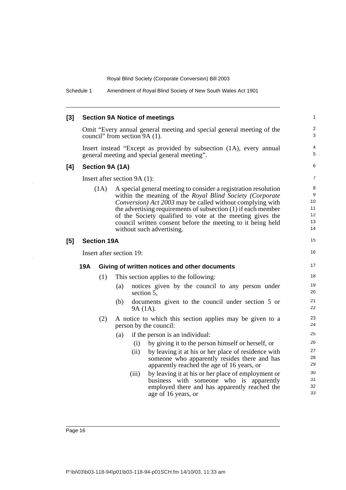| [3] |            |                                                                                                                      | <b>Section 9A Notice of meetings</b>          |                                                                                    |                                                                                                                                                                                                                                                                                                                                                                                                                    | 1                                    |
|-----|------------|----------------------------------------------------------------------------------------------------------------------|-----------------------------------------------|------------------------------------------------------------------------------------|--------------------------------------------------------------------------------------------------------------------------------------------------------------------------------------------------------------------------------------------------------------------------------------------------------------------------------------------------------------------------------------------------------------------|--------------------------------------|
|     |            |                                                                                                                      | council" from section 9A (1).                 |                                                                                    | Omit "Every annual general meeting and special general meeting of the                                                                                                                                                                                                                                                                                                                                              | $\overline{\mathbf{c}}$<br>3         |
|     |            | Insert instead "Except as provided by subsection (1A), every annual<br>general meeting and special general meeting". |                                               |                                                                                    |                                                                                                                                                                                                                                                                                                                                                                                                                    | 4<br>5                               |
| [4] |            |                                                                                                                      | Section 9A (1A)                               |                                                                                    |                                                                                                                                                                                                                                                                                                                                                                                                                    | 6                                    |
|     |            |                                                                                                                      |                                               | Insert after section 9A (1):                                                       |                                                                                                                                                                                                                                                                                                                                                                                                                    |                                      |
|     |            | (1A)                                                                                                                 |                                               |                                                                                    | A special general meeting to consider a registration resolution<br>within the meaning of the Royal Blind Society (Corporate<br>Conversion) Act 2003 may be called without complying with<br>the advertising requirements of subsection (1) if each member<br>of the Society qualified to vote at the meeting gives the<br>council written consent before the meeting to it being held<br>without such advertising. | 8<br>9<br>10<br>11<br>12<br>13<br>14 |
| [5] |            | <b>Section 19A</b>                                                                                                   |                                               |                                                                                    |                                                                                                                                                                                                                                                                                                                                                                                                                    | 15                                   |
|     |            |                                                                                                                      | Insert after section 19:                      |                                                                                    |                                                                                                                                                                                                                                                                                                                                                                                                                    |                                      |
|     | <b>19A</b> |                                                                                                                      | Giving of written notices and other documents |                                                                                    |                                                                                                                                                                                                                                                                                                                                                                                                                    |                                      |
|     |            | (1)                                                                                                                  |                                               | This section applies to the following:                                             |                                                                                                                                                                                                                                                                                                                                                                                                                    |                                      |
|     |            |                                                                                                                      | (a)                                           | section 5,                                                                         | notices given by the council to any person under                                                                                                                                                                                                                                                                                                                                                                   | 19<br>20                             |
|     |            |                                                                                                                      | (b)                                           | 9A (1A).                                                                           | documents given to the council under section 5 or                                                                                                                                                                                                                                                                                                                                                                  | 21<br>22                             |
|     |            | (2)                                                                                                                  |                                               | A notice to which this section applies may be given to a<br>person by the council: |                                                                                                                                                                                                                                                                                                                                                                                                                    |                                      |
|     |            |                                                                                                                      | (a)                                           |                                                                                    | if the person is an individual:                                                                                                                                                                                                                                                                                                                                                                                    | 25                                   |
|     |            |                                                                                                                      |                                               | (i)                                                                                | by giving it to the person himself or herself, or                                                                                                                                                                                                                                                                                                                                                                  | 26                                   |
|     |            |                                                                                                                      |                                               | (ii)                                                                               | by leaving it at his or her place of residence with<br>someone who apparently resides there and has                                                                                                                                                                                                                                                                                                                | 27<br>28                             |
|     |            |                                                                                                                      |                                               |                                                                                    | apparently reached the age of 16 years, or                                                                                                                                                                                                                                                                                                                                                                         | 29                                   |
|     |            |                                                                                                                      |                                               | (iii)                                                                              | by leaving it at his or her place of employment or                                                                                                                                                                                                                                                                                                                                                                 | 30                                   |
|     |            |                                                                                                                      |                                               |                                                                                    | business with someone who is apparently                                                                                                                                                                                                                                                                                                                                                                            | 31<br>32                             |
|     |            |                                                                                                                      |                                               |                                                                                    | employed there and has apparently reached the<br>age of 16 years, or                                                                                                                                                                                                                                                                                                                                               | 33                                   |

 $\frac{1}{2}$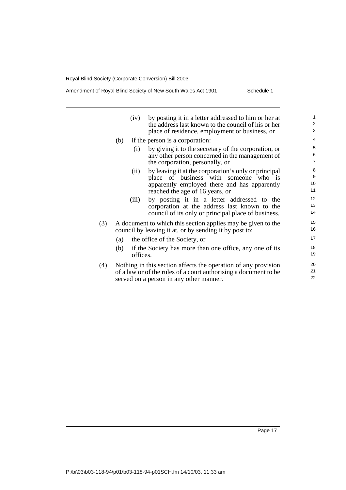## Amendment of Royal Blind Society of New South Wales Act 1901 Schedule 1

|     | (iv)                                                             | by posting it in a letter addressed to him or her at    | $\mathbf{1}$   |  |  |  |
|-----|------------------------------------------------------------------|---------------------------------------------------------|----------------|--|--|--|
|     |                                                                  | the address last known to the council of his or her     | $\overline{2}$ |  |  |  |
|     |                                                                  | place of residence, employment or business, or          | 3              |  |  |  |
|     | (b)                                                              | if the person is a corporation:                         | $\overline{4}$ |  |  |  |
|     | (i)                                                              | by giving it to the secretary of the corporation, or    | 5              |  |  |  |
|     |                                                                  | any other person concerned in the management of         | 6              |  |  |  |
|     |                                                                  | the corporation, personally, or                         | $\overline{7}$ |  |  |  |
|     | (ii)                                                             | by leaving it at the corporation's only or principal    | 8              |  |  |  |
|     |                                                                  | place of business with someone who is                   | 9              |  |  |  |
|     |                                                                  | apparently employed there and has apparently            | 10             |  |  |  |
|     |                                                                  | reached the age of 16 years, or                         | 11             |  |  |  |
|     | (iii)                                                            | by posting it in a letter addressed to the              | 12             |  |  |  |
|     |                                                                  | corporation at the address last known to the            | 13             |  |  |  |
|     |                                                                  | council of its only or principal place of business.     | 14             |  |  |  |
| (3) | A document to which this section applies may be given to the     |                                                         |                |  |  |  |
|     | council by leaving it at, or by sending it by post to:           |                                                         |                |  |  |  |
|     |                                                                  | (a) the office of the Society, or                       | 17             |  |  |  |
|     | (b)                                                              | if the Society has more than one office, any one of its | 18             |  |  |  |
|     |                                                                  | offices.                                                | 19             |  |  |  |
| (4) | Nothing in this section affects the operation of any provision   |                                                         |                |  |  |  |
|     | of a law or of the rules of a court authorising a document to be |                                                         |                |  |  |  |
|     | served on a person in any other manner.                          |                                                         |                |  |  |  |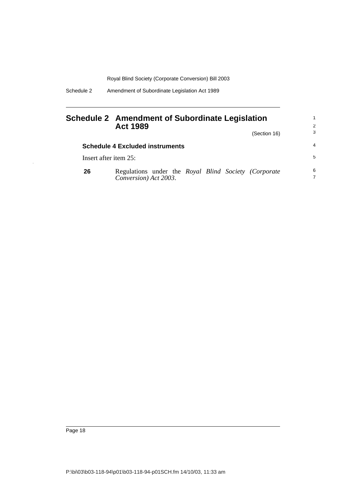Schedule 2 Amendment of Subordinate Legislation Act 1989

## <span id="page-25-0"></span>**Schedule 2 Amendment of Subordinate Legislation Act 1989**

(Section 16)

1 2 3

|    | <b>Schedule 4 Excluded instruments</b>                                        |    |  |  |
|----|-------------------------------------------------------------------------------|----|--|--|
|    | Insert after item 25:                                                         | -5 |  |  |
| 26 | Regulations under the Royal Blind Society (Corporate<br>Conversion) Act 2003. | 6  |  |  |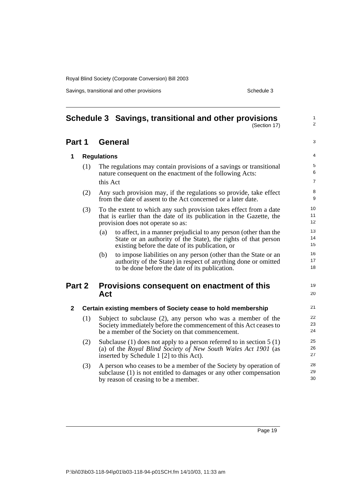Savings, transitional and other provisions Schedule 3

<span id="page-26-0"></span>

|              |     | Schedule 3 Savings, transitional and other provisions<br>(Section 17)                                                                                                                        | $\mathbf{1}$<br>2        |  |  |  |
|--------------|-----|----------------------------------------------------------------------------------------------------------------------------------------------------------------------------------------------|--------------------------|--|--|--|
| Part 1       |     | <b>General</b>                                                                                                                                                                               |                          |  |  |  |
| 1            |     | <b>Regulations</b>                                                                                                                                                                           |                          |  |  |  |
|              | (1) | The regulations may contain provisions of a savings or transitional<br>nature consequent on the enactment of the following Acts:                                                             | 5<br>6<br>$\overline{7}$ |  |  |  |
|              | (2) | this Act<br>Any such provision may, if the regulations so provide, take effect<br>from the date of assent to the Act concerned or a later date.                                              | 8<br>9                   |  |  |  |
|              | (3) | To the extent to which any such provision takes effect from a date<br>that is earlier than the date of its publication in the Gazette, the<br>provision does not operate so as:              | 10<br>11<br>12           |  |  |  |
|              |     | to affect, in a manner prejudicial to any person (other than the<br>(a)<br>State or an authority of the State), the rights of that person<br>existing before the date of its publication, or | 13<br>14<br>15           |  |  |  |
|              |     | to impose liabilities on any person (other than the State or an<br>(b)<br>authority of the State) in respect of anything done or omitted<br>to be done before the date of its publication.   | 16<br>17<br>18           |  |  |  |
| Part 2       |     | Provisions consequent on enactment of this<br>Act                                                                                                                                            | 19<br>20                 |  |  |  |
| $\mathbf{2}$ |     | Certain existing members of Society cease to hold membership                                                                                                                                 | 21                       |  |  |  |
|              | (1) | Subject to subclause (2), any person who was a member of the<br>Society immediately before the commencement of this Act ceases to<br>be a member of the Society on that commencement.        | 22<br>23<br>24           |  |  |  |
|              | (2) | Subclause (1) does not apply to a person referred to in section $5(1)$<br>(a) of the Royal Blind Society of New South Wales Act 1901 (as<br>inserted by Schedule 1 [2] to this Act).         | 25<br>26<br>27           |  |  |  |
|              | (3) | A person who ceases to be a member of the Society by operation of<br>subclause (1) is not entitled to damages or any other compensation<br>by reason of ceasing to be a member.              | 28<br>29<br>30           |  |  |  |